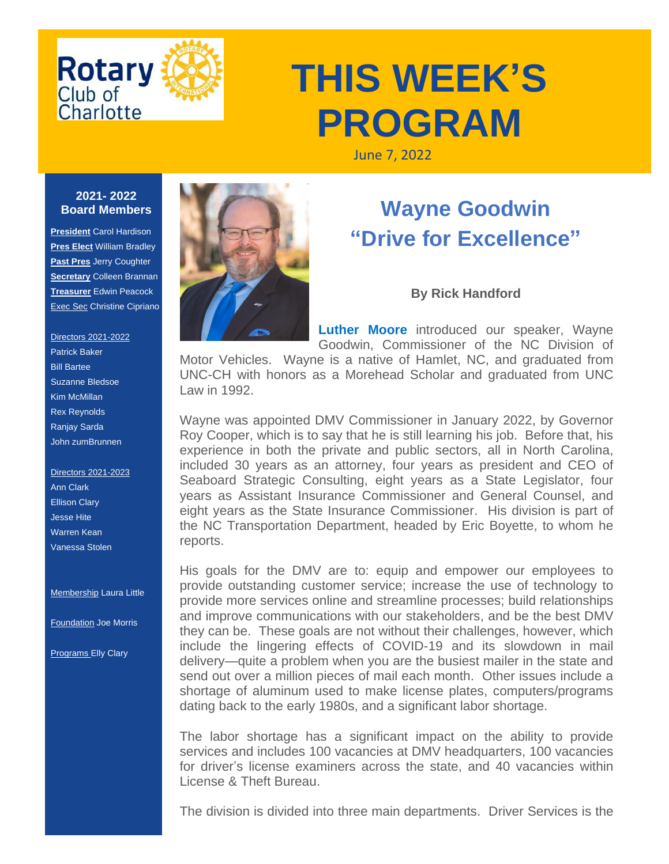

# **THIS WEEK'S PROGRAM**

June 7, 2022

#### **2021- 2022 Board Members**

**President** Carol Hardison **Pres Elect** William Bradley **Past Pres** Jerry Coughter **Secretary** Colleen Brannan **Treasurer** Edwin Peacock **Exec Sec Christine Cipriano** 

#### Directors 2021-2022 Patrick Baker Bill Bartee Suzanne Bledsoe Kim McMillan Rex Reynolds Ranjay Sarda John zumBrunnen

Directors 2021-2023 Ann Clark Ellison Clary Jesse Hite Warren Kean Vanessa Stolen

**Membership Laura Little** 

Foundation Joe Morris

**Programs Elly Clary** 



## **Wayne Goodwin "Drive for Excellence"**

### **By Rick Handford**

**Luther Moore** introduced our speaker, Wayne Goodwin, Commissioner of the NC Division of

Motor Vehicles. Wayne is a native of Hamlet, NC, and graduated from UNC-CH with honors as a Morehead Scholar and graduated from UNC Law in 1992.

Wayne was appointed DMV Commissioner in January 2022, by Governor Roy Cooper, which is to say that he is still learning his job. Before that, his experience in both the private and public sectors, all in North Carolina, included 30 years as an attorney, four years as president and CEO of Seaboard Strategic Consulting, eight years as a State Legislator, four years as Assistant Insurance Commissioner and General Counsel, and eight years as the State Insurance Commissioner. His division is part of the NC Transportation Department, headed by Eric Boyette, to whom he reports.

His goals for the DMV are to: equip and empower our employees to provide outstanding customer service; increase the use of technology to provide more services online and streamline processes; build relationships and improve communications with our stakeholders, and be the best DMV they can be. These goals are not without their challenges, however, which include the lingering effects of COVID-19 and its slowdown in mail delivery—quite a problem when you are the busiest mailer in the state and send out over a million pieces of mail each month. Other issues include a shortage of aluminum used to make license plates, computers/programs dating back to the early 1980s, and a significant labor shortage.

The labor shortage has a significant impact on the ability to provide services and includes 100 vacancies at DMV headquarters, 100 vacancies for driver's license examiners across the state, and 40 vacancies within License & Theft Bureau.

The division is divided into three main departments. Driver Services is the